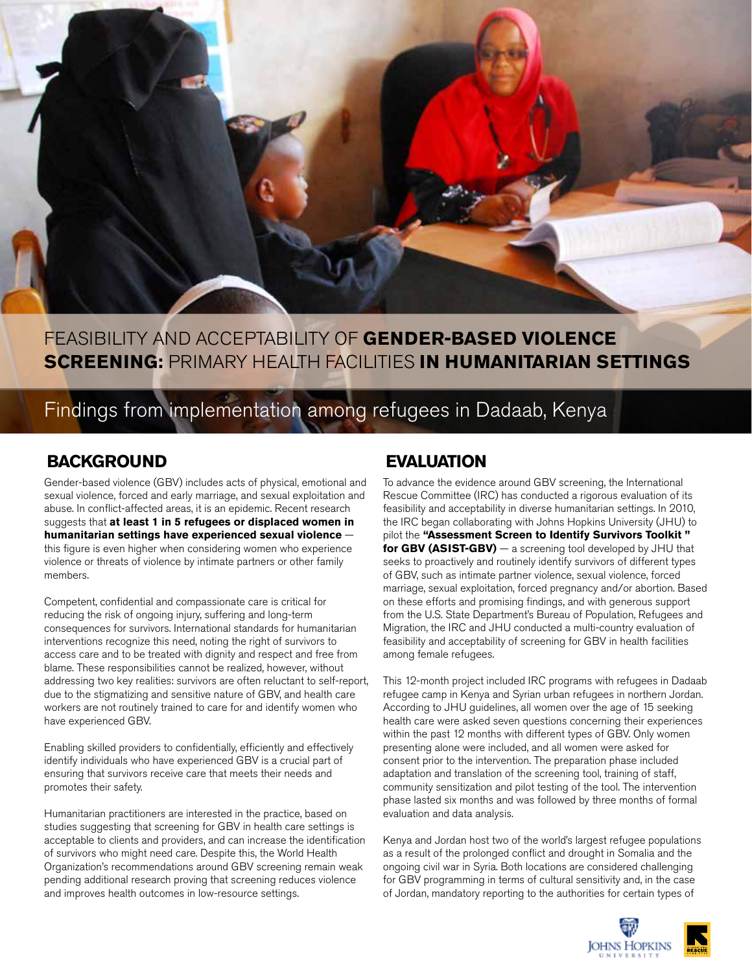

# FEASIBILITY AND ACCEPTABILITY OF **GENDER-BASED VIOLENCE SCREENING:** PRIMARY HEALTH FACILITIES **IN HUMANITARIAN SETTINGS**

# Findings from implementation among refugees in Dadaab, Kenya

# **BACKGROUND**

Gender-based violence (GBV) includes acts of physical, emotional and sexual violence, forced and early marriage, and sexual exploitation and abuse. In conflict-affected areas, it is an epidemic. Recent research suggests that **at least 1 in 5 refugees or displaced women in humanitarian settings have experienced sexual violence** this figure is even higher when considering women who experience violence or threats of violence by intimate partners or other family members.

Competent, confidential and compassionate care is critical for reducing the risk of ongoing injury, suffering and long-term consequences for survivors. International standards for humanitarian interventions recognize this need, noting the right of survivors to access care and to be treated with dignity and respect and free from blame. These responsibilities cannot be realized, however, without addressing two key realities: survivors are often reluctant to self-report, due to the stigmatizing and sensitive nature of GBV, and health care workers are not routinely trained to care for and identify women who have experienced GBV.

Enabling skilled providers to confidentially, efficiently and effectively identify individuals who have experienced GBV is a crucial part of ensuring that survivors receive care that meets their needs and promotes their safety.

Humanitarian practitioners are interested in the practice, based on studies suggesting that screening for GBV in health care settings is acceptable to clients and providers, and can increase the identification of survivors who might need care. Despite this, the World Health Organization's recommendations around GBV screening remain weak pending additional research proving that screening reduces violence and improves health outcomes in low-resource settings.

# **EVALUATION**

To advance the evidence around GBV screening, the International Rescue Committee (IRC) has conducted a rigorous evaluation of its feasibility and acceptability in diverse humanitarian settings. In 2010, the IRC began collaborating with Johns Hopkins University (JHU) to pilot the **"Assessment Screen to Identify Survivors Toolkit " for GBV (ASIST-GBV)** — a screening tool developed by JHU that seeks to proactively and routinely identify survivors of different types of GBV, such as intimate partner violence, sexual violence, forced marriage, sexual exploitation, forced pregnancy and/or abortion. Based on these efforts and promising findings, and with generous support from the U.S. State Department's Bureau of Population, Refugees and Migration, the IRC and JHU conducted a multi-country evaluation of feasibility and acceptability of screening for GBV in health facilities among female refugees.

This 12-month project included IRC programs with refugees in Dadaab refugee camp in Kenya and Syrian urban refugees in northern Jordan. According to JHU guidelines, all women over the age of 15 seeking health care were asked seven questions concerning their experiences within the past 12 months with different types of GBV. Only women presenting alone were included, and all women were asked for consent prior to the intervention. The preparation phase included adaptation and translation of the screening tool, training of staff, community sensitization and pilot testing of the tool. The intervention phase lasted six months and was followed by three months of formal evaluation and data analysis.

Kenya and Jordan host two of the world's largest refugee populations as a result of the prolonged conflict and drought in Somalia and the ongoing civil war in Syria. Both locations are considered challenging for GBV programming in terms of cultural sensitivity and, in the case of Jordan, mandatory reporting to the authorities for certain types of

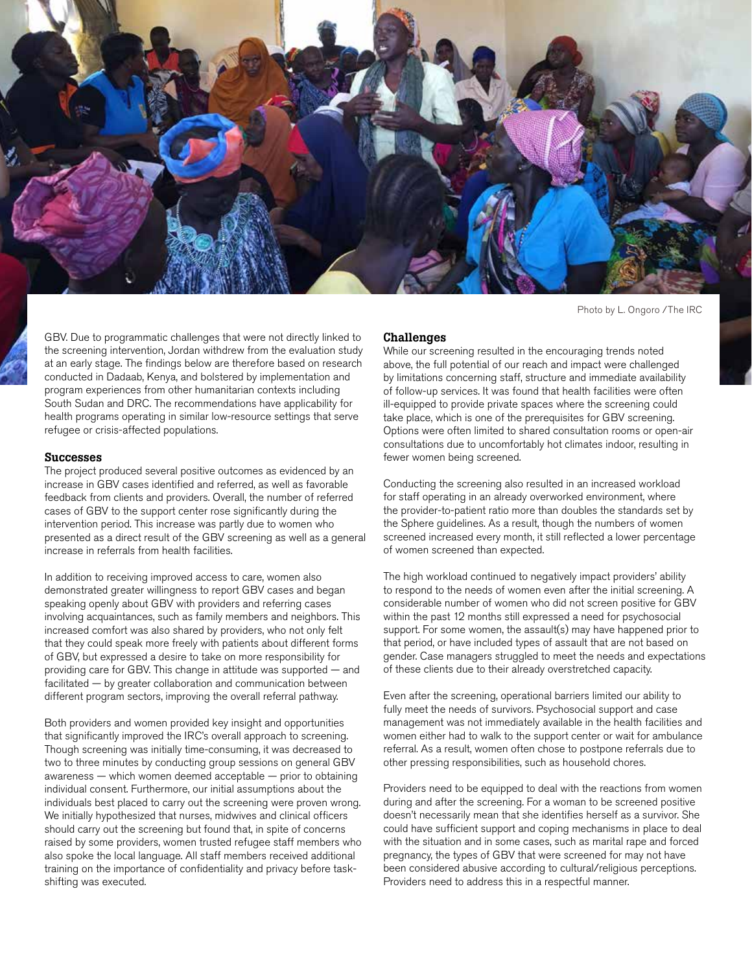

Photo by L. Ongoro /The IRC

GBV. Due to programmatic challenges that were not directly linked to the screening intervention, Jordan withdrew from the evaluation study at an early stage. The findings below are therefore based on research conducted in Dadaab, Kenya, and bolstered by implementation and program experiences from other humanitarian contexts including South Sudan and DRC. The recommendations have applicability for health programs operating in similar low-resource settings that serve refugee or crisis-affected populations.

### Successes

The project produced several positive outcomes as evidenced by an increase in GBV cases identified and referred, as well as favorable feedback from clients and providers. Overall, the number of referred cases of GBV to the support center rose significantly during the intervention period. This increase was partly due to women who presented as a direct result of the GBV screening as well as a general increase in referrals from health facilities.

In addition to receiving improved access to care, women also demonstrated greater willingness to report GBV cases and began speaking openly about GBV with providers and referring cases involving acquaintances, such as family members and neighbors. This increased comfort was also shared by providers, who not only felt that they could speak more freely with patients about different forms of GBV, but expressed a desire to take on more responsibility for providing care for GBV. This change in attitude was supported — and facilitated — by greater collaboration and communication between different program sectors, improving the overall referral pathway.

Both providers and women provided key insight and opportunities that significantly improved the IRC's overall approach to screening. Though screening was initially time-consuming, it was decreased to two to three minutes by conducting group sessions on general GBV awareness — which women deemed acceptable — prior to obtaining individual consent. Furthermore, our initial assumptions about the individuals best placed to carry out the screening were proven wrong. We initially hypothesized that nurses, midwives and clinical officers should carry out the screening but found that, in spite of concerns raised by some providers, women trusted refugee staff members who also spoke the local language. All staff members received additional training on the importance of confidentiality and privacy before taskshifting was executed.

### Challenges

While our screening resulted in the encouraging trends noted above, the full potential of our reach and impact were challenged by limitations concerning staff, structure and immediate availability of follow-up services. It was found that health facilities were often ill-equipped to provide private spaces where the screening could take place, which is one of the prerequisites for GBV screening. Options were often limited to shared consultation rooms or open-air consultations due to uncomfortably hot climates indoor, resulting in fewer women being screened.

Conducting the screening also resulted in an increased workload for staff operating in an already overworked environment, where the provider-to-patient ratio more than doubles the standards set by the Sphere guidelines. As a result, though the numbers of women screened increased every month, it still reflected a lower percentage of women screened than expected.

The high workload continued to negatively impact providers' ability to respond to the needs of women even after the initial screening. A considerable number of women who did not screen positive for GBV within the past 12 months still expressed a need for psychosocial support. For some women, the assault(s) may have happened prior to that period, or have included types of assault that are not based on gender. Case managers struggled to meet the needs and expectations of these clients due to their already overstretched capacity.

Even after the screening, operational barriers limited our ability to fully meet the needs of survivors. Psychosocial support and case management was not immediately available in the health facilities and women either had to walk to the support center or wait for ambulance referral. As a result, women often chose to postpone referrals due to other pressing responsibilities, such as household chores.

Providers need to be equipped to deal with the reactions from women during and after the screening. For a woman to be screened positive doesn't necessarily mean that she identifies herself as a survivor. She could have sufficient support and coping mechanisms in place to deal with the situation and in some cases, such as marital rape and forced pregnancy, the types of GBV that were screened for may not have been considered abusive according to cultural/religious perceptions. Providers need to address this in a respectful manner.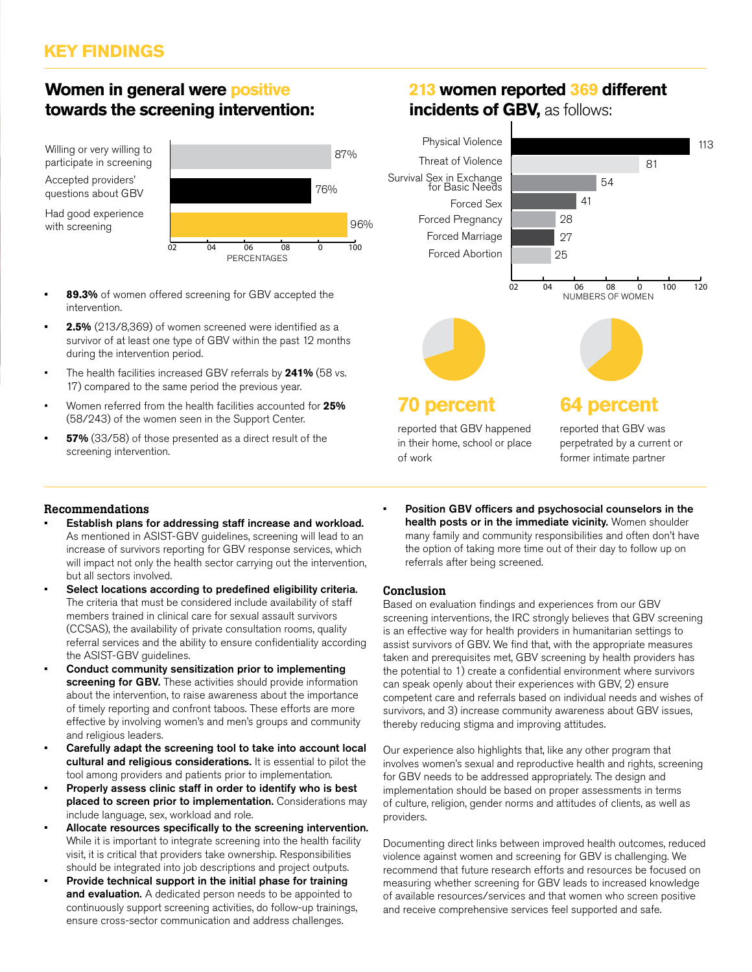# **Women in general were positive towards the screening intervention:**

Willing or very willing to participate in screening Accepted providers' questions about GBV

Had good experience with screening



- intervention.
- **• 2.5%** (213/8,369) of women screened were identified as a survivor of at least one type of GBV within the past 12 months during the intervention period.
- The health facilities increased GBV referrals by **241%** (58 vs. 17) compared to the same period the previous year.
- Women referred from the health facilities accounted for **25%**  (58/243) of the women seen in the Support Center.
- **• 57%** (33/58) of those presented as a direct result of the screening intervention.

# **213 women reported 369 different incidents of GBV, as follows:**



# Recommendations

- Establish plans for addressing staff increase and workload. As mentioned in ASIST-GBV guidelines, screening will lead to an increase of survivors reporting for GBV response services, which will impact not only the health sector carrying out the intervention, but all sectors involved.
- Select locations according to predefined eligibility criteria. The criteria that must be considered include availability of staff members trained in clinical care for sexual assault survivors (CCSAS), the availability of private consultation rooms, quality referral services and the ability to ensure confidentiality according the ASIST-GBV guidelines.
- Conduct community sensitization prior to implementing screening for GBV. These activities should provide information about the intervention, to raise awareness about the importance of timely reporting and confront taboos. These efforts are more effective by involving women's and men's groups and community and religious leaders.
- Carefully adapt the screening tool to take into account local cultural and religious considerations. It is essential to pilot the tool among providers and patients prior to implementation.
- Properly assess clinic staff in order to identify who is best placed to screen prior to implementation. Considerations may include language, sex, workload and role.
- Allocate resources specifically to the screening intervention. While it is important to integrate screening into the health facility visit, it is critical that providers take ownership. Responsibilities should be integrated into job descriptions and project outputs.
- Provide technical support in the initial phase for training and evaluation. A dedicated person needs to be appointed to continuously support screening activities, do follow-up trainings, ensure cross-sector communication and address challenges.

Position GBV officers and psychosocial counselors in the health posts or in the immediate vicinity. Women shoulder many family and community responsibilities and often don't have the option of taking more time out of their day to follow up on referrals after being screened.

# Conclusion

Based on evaluation findings and experiences from our GBV screening interventions, the IRC strongly believes that GBV screening is an effective way for health providers in humanitarian settings to assist survivors of GBV. We find that, with the appropriate measures taken and prerequisites met, GBV screening by health providers has the potential to 1) create a confidential environment where survivors can speak openly about their experiences with GBV, 2) ensure competent care and referrals based on individual needs and wishes of survivors, and 3) increase community awareness about GBV issues, thereby reducing stigma and improving attitudes.

Our experience also highlights that, like any other program that involves women's sexual and reproductive health and rights, screening for GBV needs to be addressed appropriately. The design and implementation should be based on proper assessments in terms of culture, religion, gender norms and attitudes of clients, as well as providers.

Documenting direct links between improved health outcomes, reduced violence against women and screening for GBV is challenging. We recommend that future research efforts and resources be focused on measuring whether screening for GBV leads to increased knowledge of available resources/services and that women who screen positive and receive comprehensive services feel supported and safe.